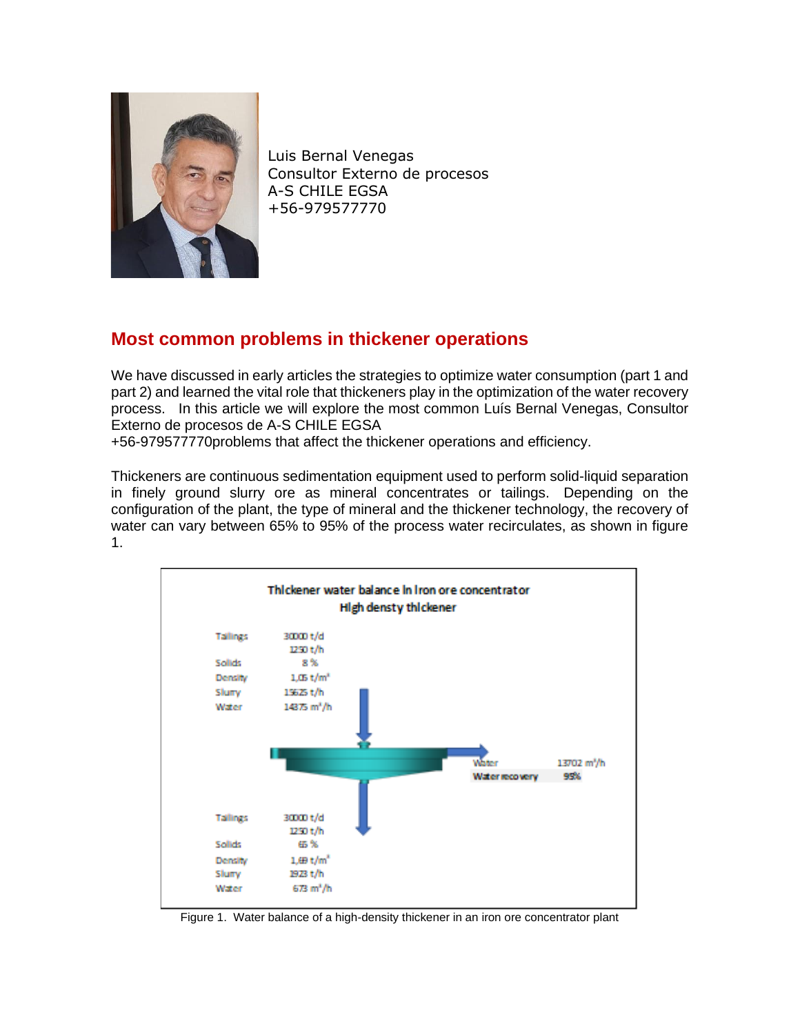

Luis Bernal Venegas Consultor Externo de procesos A-S CHILE EGSA +56-979577770

# **Most common problems in thickener operations**

We have discussed in early articles the strategies to optimize water consumption (part 1 and part 2) and learned the vital role that thickeners play in the optimization of the water recovery process. In this article we will explore the most common Luís Bernal Venegas, Consultor Externo de procesos de A-S CHILE EGSA

+56-979577770problems that affect the thickener operations and efficiency.

Thickeners are continuous sedimentation equipment used to perform solid-liquid separation in finely ground slurry ore as mineral concentrates or tailings. Depending on the configuration of the plant, the type of mineral and the thickener technology, the recovery of water can vary between 65% to 95% of the process water recirculates, as shown in figure 1.



Figure 1. Water balance of a high-density thickener in an iron ore concentrator plant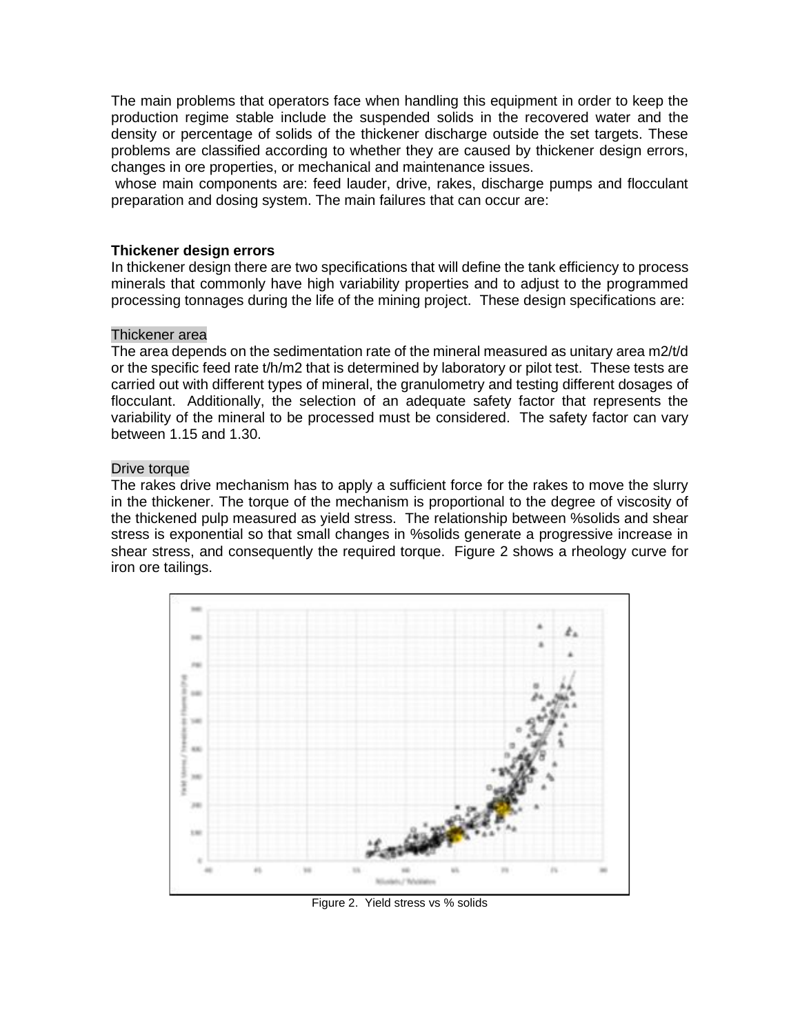The main problems that operators face when handling this equipment in order to keep the production regime stable include the suspended solids in the recovered water and the density or percentage of solids of the thickener discharge outside the set targets. These problems are classified according to whether they are caused by thickener design errors, changes in ore properties, or mechanical and maintenance issues.

whose main components are: feed lauder, drive, rakes, discharge pumps and flocculant preparation and dosing system. The main failures that can occur are:

# **Thickener design errors**

In thickener design there are two specifications that will define the tank efficiency to process minerals that commonly have high variability properties and to adjust to the programmed processing tonnages during the life of the mining project. These design specifications are:

#### Thickener area

The area depends on the sedimentation rate of the mineral measured as unitary area m2/t/d or the specific feed rate t/h/m2 that is determined by laboratory or pilot test. These tests are carried out with different types of mineral, the granulometry and testing different dosages of flocculant. Additionally, the selection of an adequate safety factor that represents the variability of the mineral to be processed must be considered. The safety factor can vary between 1.15 and 1.30.

### Drive torque

The rakes drive mechanism has to apply a sufficient force for the rakes to move the slurry in the thickener. The torque of the mechanism is proportional to the degree of viscosity of the thickened pulp measured as yield stress. The relationship between %solids and shear stress is exponential so that small changes in %solids generate a progressive increase in shear stress, and consequently the required torque. Figure 2 shows a rheology curve for iron ore tailings.



Figure 2. Yield stress vs % solids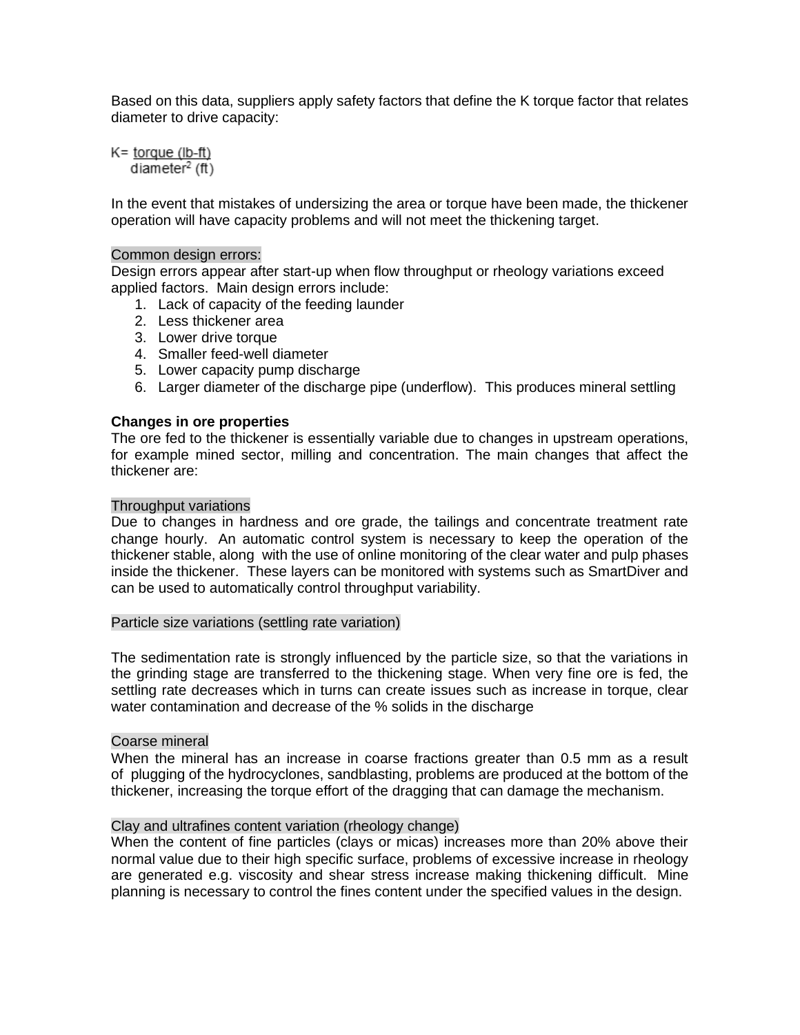Based on this data, suppliers apply safety factors that define the K torque factor that relates diameter to drive capacity:

 $K =$  torque (lb-ft) diameter<sup>2</sup> (ft)

In the event that mistakes of undersizing the area or torque have been made, the thickener operation will have capacity problems and will not meet the thickening target.

# Common design errors:

Design errors appear after start-up when flow throughput or rheology variations exceed applied factors. Main design errors include:

- 1. Lack of capacity of the feeding launder
- 2. Less thickener area
- 3. Lower drive torque
- 4. Smaller feed-well diameter
- 5. Lower capacity pump discharge
- 6. Larger diameter of the discharge pipe (underflow). This produces mineral settling

# **Changes in ore properties**

The ore fed to the thickener is essentially variable due to changes in upstream operations, for example mined sector, milling and concentration. The main changes that affect the thickener are:

### Throughput variations

Due to changes in hardness and ore grade, the tailings and concentrate treatment rate change hourly. An automatic control system is necessary to keep the operation of the thickener stable, along with the use of online monitoring of the clear water and pulp phases inside the thickener. These layers can be monitored with systems such as SmartDiver and can be used to automatically control throughput variability.

#### Particle size variations (settling rate variation)

The sedimentation rate is strongly influenced by the particle size, so that the variations in the grinding stage are transferred to the thickening stage. When very fine ore is fed, the settling rate decreases which in turns can create issues such as increase in torque, clear water contamination and decrease of the % solids in the discharge

#### Coarse mineral

When the mineral has an increase in coarse fractions greater than 0.5 mm as a result of plugging of the hydrocyclones, sandblasting, problems are produced at the bottom of the thickener, increasing the torque effort of the dragging that can damage the mechanism.

# Clay and ultrafines content variation (rheology change)

When the content of fine particles (clays or micas) increases more than 20% above their normal value due to their high specific surface, problems of excessive increase in rheology are generated e.g. viscosity and shear stress increase making thickening difficult. Mine planning is necessary to control the fines content under the specified values in the design.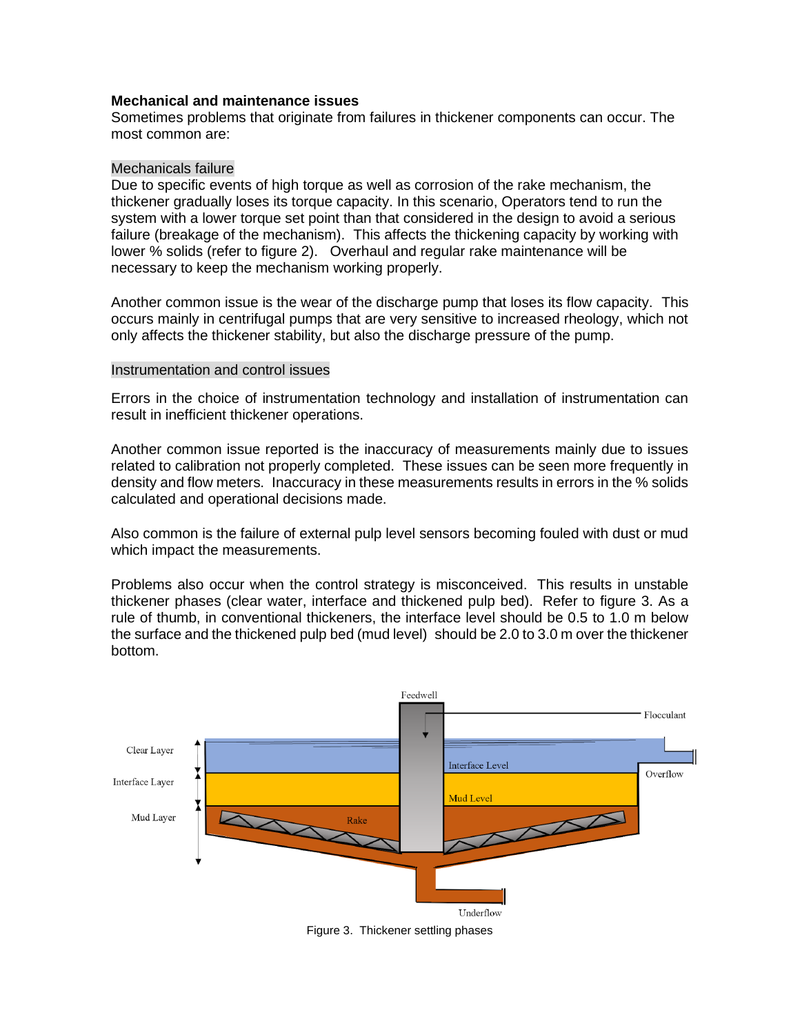# **Mechanical and maintenance issues**

Sometimes problems that originate from failures in thickener components can occur. The most common are:

### Mechanicals failure

Due to specific events of high torque as well as corrosion of the rake mechanism, the thickener gradually loses its torque capacity. In this scenario, Operators tend to run the system with a lower torque set point than that considered in the design to avoid a serious failure (breakage of the mechanism). This affects the thickening capacity by working with lower % solids (refer to figure 2). Overhaul and regular rake maintenance will be necessary to keep the mechanism working properly.

Another common issue is the wear of the discharge pump that loses its flow capacity. This occurs mainly in centrifugal pumps that are very sensitive to increased rheology, which not only affects the thickener stability, but also the discharge pressure of the pump.

### Instrumentation and control issues

Errors in the choice of instrumentation technology and installation of instrumentation can result in inefficient thickener operations.

Another common issue reported is the inaccuracy of measurements mainly due to issues related to calibration not properly completed. These issues can be seen more frequently in density and flow meters. Inaccuracy in these measurements results in errors in the % solids calculated and operational decisions made.

Also common is the failure of external pulp level sensors becoming fouled with dust or mud which impact the measurements.

Problems also occur when the control strategy is misconceived. This results in unstable thickener phases (clear water, interface and thickened pulp bed). Refer to figure 3. As a rule of thumb, in conventional thickeners, the interface level should be 0.5 to 1.0 m below the surface and the thickened pulp bed (mud level) should be 2.0 to 3.0 m over the thickener bottom.



Figure 3. Thickener settling phases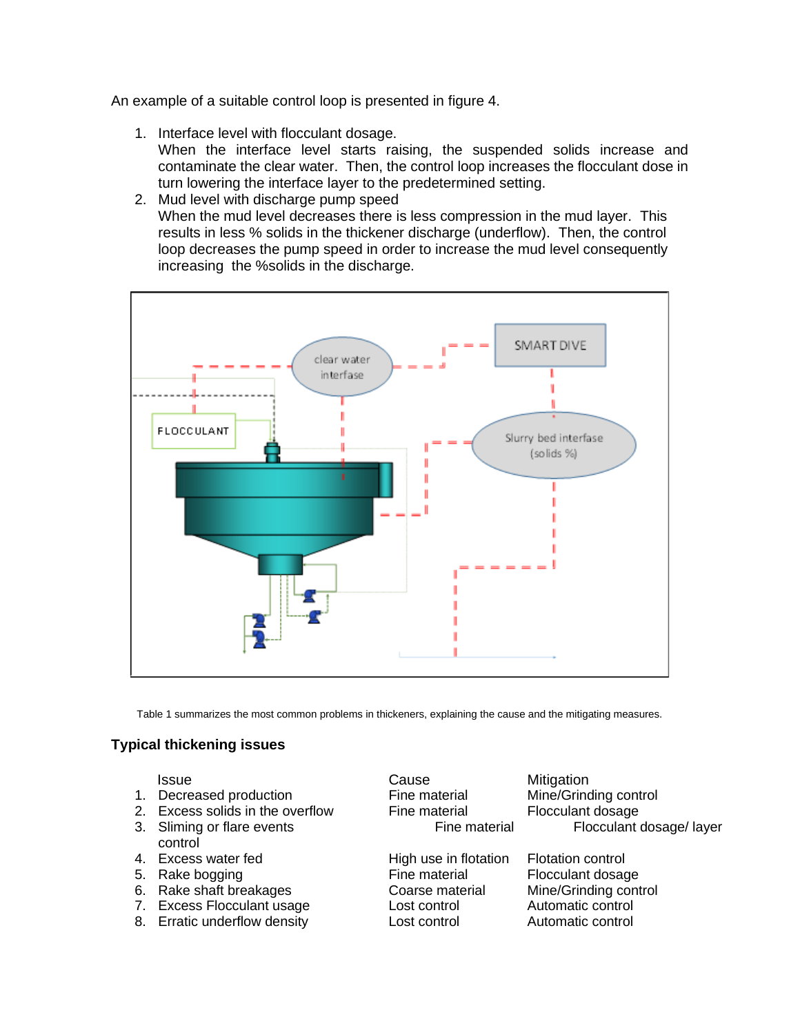An example of a suitable control loop is presented in figure 4.

- 1. Interface level with flocculant dosage. When the interface level starts raising, the suspended solids increase and contaminate the clear water. Then, the control loop increases the flocculant dose in turn lowering the interface layer to the predetermined setting.
- 2. Mud level with discharge pump speed When the mud level decreases there is less compression in the mud layer. This results in less % solids in the thickener discharge (underflow). Then, the control loop decreases the pump speed in order to increase the mud level consequently increasing the %solids in the discharge.



Table 1 summarizes the most common problems in thickeners, explaining the cause and the mitigating measures.

# **Typical thickening issues**

- 1. Decreased production Fine material Mine/Grinding control
- 2. Excess solids in the overflow Fine material Flocculant dosage
- control
- 
- 
- 
- 7. Excess Flocculant usage Lost control Automatic control
- 8. Erratic underflow density **Lost control and Automatic control**

**Issue Cause Cause Mitigation** 

5. Rake bogging **Fine material** Fine material Flocculant dosage

3. Sliming or flare events **Fine material** Flocculant dosage/ layer

4. Excess water fed High use in flotation Flotation control 6. Rake shaft breakages Coarse material Mine/Grinding control